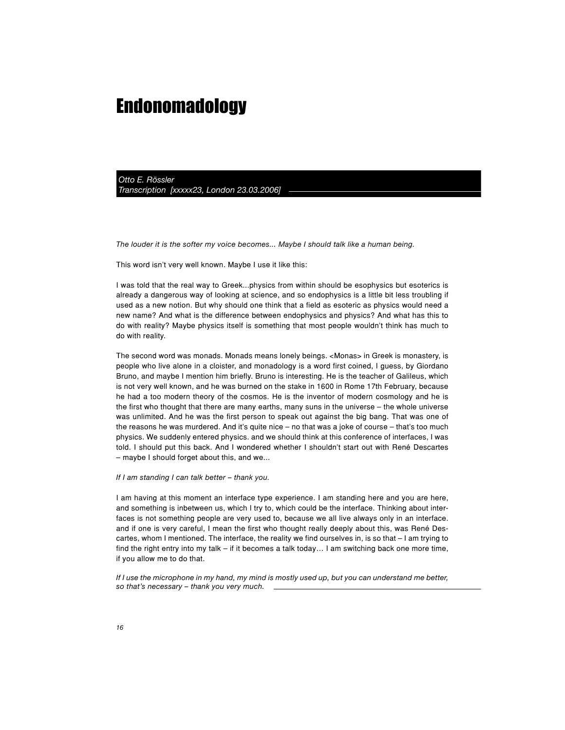*Otto E. Rössler Transcription [xxxxx23, London 23.03.2006]*

*The louder it is the softer my voice becomes... Maybe I should talk like a human being.*

This word isn't very well known. Maybe I use it like this:

I was told that the real way to Greek...physics from within should be esophysics but esoterics is already a dangerous way of looking at science, and so endophysics is a little bit less troubling if used as a new notion. But why should one think that a field as esoteric as physics would need a new name? And what is the difference between endophysics and physics? And what has this to do with reality? Maybe physics itself is something that most people wouldn't think has much to do with reality.

The second word was monads. Monads means lonely beings. <Monas> in Greek is monastery, is people who live alone in a cloister, and monadology is a word first coined, I guess, by Giordano Bruno, and maybe I mention him briefly. Bruno is interesting. He is the teacher of Galileus, which is not very well known, and he was burned on the stake in 1600 in Rome 17th February, because he had a too modern theory of the cosmos. He is the inventor of modern cosmology and he is the first who thought that there are many earths, many suns in the universe – the whole universe was unlimited. And he was the first person to speak out against the big bang. That was one of the reasons he was murdered. And it's quite nice – no that was a joke of course – that's too much physics. We suddenly entered physics. and we should think at this conference of interfaces, I was told. I should put this back. And I wondered whether I shouldn't start out with René Descartes – maybe I should forget about this, and we...

## *If I am standing I can talk better – thank you.*

I am having at this moment an interface type experience. I am standing here and you are here, and something is inbetween us, which I try to, which could be the interface. Thinking about interfaces is not something people are very used to, because we all live always only in an interface. and if one is very careful, I mean the first who thought really deeply about this, was René Descartes, whom I mentioned. The interface, the reality we find ourselves in, is so that – I am trying to find the right entry into my talk – if it becomes a talk today… I am switching back one more time, if you allow me to do that.

*If I use the microphone in my hand, my mind is mostly used up, but you can understand me better, so that's necessary – thank you very much.*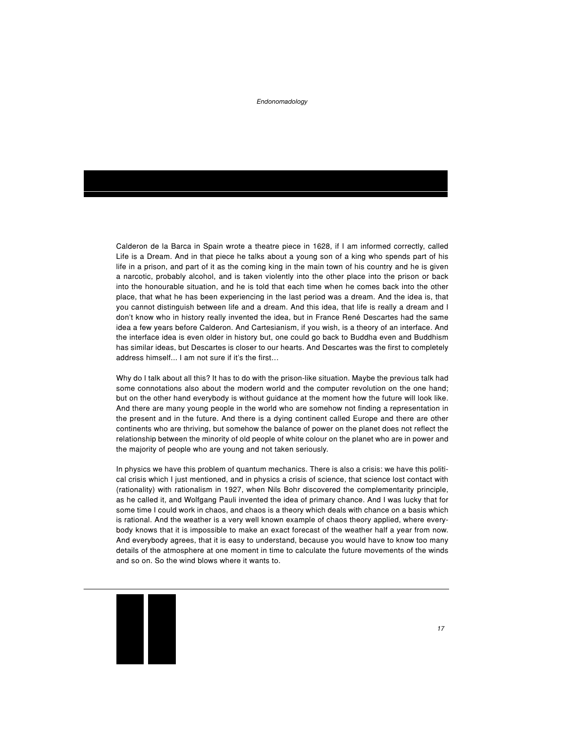Calderon de la Barca in Spain wrote a theatre piece in 1628, if I am informed correctly, called Life is a Dream. And in that piece he talks about a young son of a king who spends part of his life in a prison, and part of it as the coming king in the main town of his country and he is given a narcotic, probably alcohol, and is taken violently into the other place into the prison or back into the honourable situation, and he is told that each time when he comes back into the other place, that what he has been experiencing in the last period was a dream. And the idea is, that you cannot distinguish between life and a dream. And this idea, that life is really a dream and I don't know who in history really invented the idea, but in France René Descartes had the same idea a few years before Calderon. And Cartesianism, if you wish, is a theory of an interface. And the interface idea is even older in history but, one could go back to Buddha even and Buddhism has similar ideas, but Descartes is closer to our hearts. And Descartes was the first to completely address himself... I am not sure if it's the first…

Why do I talk about all this? It has to do with the prison-like situation. Maybe the previous talk had some connotations also about the modern world and the computer revolution on the one hand; but on the other hand everybody is without guidance at the moment how the future will look like. And there are many young people in the world who are somehow not finding a representation in the present and in the future. And there is a dying continent called Europe and there are other continents who are thriving, but somehow the balance of power on the planet does not reflect the relationship between the minority of old people of white colour on the planet who are in power and the majority of people who are young and not taken seriously.

In physics we have this problem of quantum mechanics. There is also a crisis: we have this political crisis which I just mentioned, and in physics a crisis of science, that science lost contact with (rationality) with rationalism in 1927, when Nils Bohr discovered the complementarity principle, as he called it, and Wolfgang Pauli invented the idea of primary chance. And I was lucky that for some time I could work in chaos, and chaos is a theory which deals with chance on a basis which is rational. And the weather is a very well known example of chaos theory applied, where everybody knows that it is impossible to make an exact forecast of the weather half a year from now. And everybody agrees, that it is easy to understand, because you would have to know too many details of the atmosphere at one moment in time to calculate the future movements of the winds and so on. So the wind blows where it wants to.

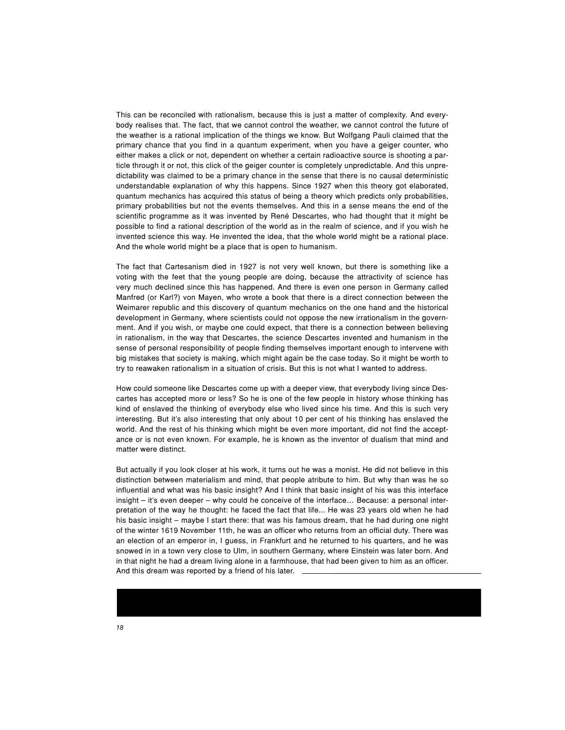This can be reconciled with rationalism, because this is just a matter of complexity. And everybody realises that. The fact, that we cannot control the weather, we cannot control the future of the weather is a rational implication of the things we know. But Wolfgang Pauli claimed that the primary chance that you find in a quantum experiment, when you have a geiger counter, who either makes a click or not, dependent on whether a certain radioactive source is shooting a particle through it or not, this click of the geiger counter is completely unpredictable. And this unpredictability was claimed to be a primary chance in the sense that there is no causal deterministic understandable explanation of why this happens. Since 1927 when this theory got elaborated, quantum mechanics has acquired this status of being a theory which predicts only probabilities, primary probabilities but not the events themselves. And this in a sense means the end of the scientific programme as it was invented by René Descartes, who had thought that it might be possible to find a rational description of the world as in the realm of science, and if you wish he invented science this way. He invented the idea, that the whole world might be a rational place. And the whole world might be a place that is open to humanism.

The fact that Cartesanism died in 1927 is not very well known, but there is something like a voting with the feet that the young people are doing, because the attractivity of science has very much declined since this has happened. And there is even one person in Germany called Manfred (or Karl?) von Mayen, who wrote a book that there is a direct connection between the Weimarer republic and this discovery of quantum mechanics on the one hand and the historical development in Germany, where scientists could not oppose the new irrationalism in the government. And if you wish, or maybe one could expect, that there is a connection between believing in rationalism, in the way that Descartes, the science Descartes invented and humanism in the sense of personal responsibility of people finding themselves important enough to intervene with big mistakes that society is making, which might again be the case today. So it might be worth to try to reawaken rationalism in a situation of crisis. But this is not what I wanted to address.

How could someone like Descartes come up with a deeper view, that everybody living since Descartes has accepted more or less? So he is one of the few people in history whose thinking has kind of enslaved the thinking of everybody else who lived since his time. And this is such very interesting. But it's also interesting that only about 10 per cent of his thinking has enslaved the world. And the rest of his thinking which might be even more important, did not find the acceptance or is not even known. For example, he is known as the inventor of dualism that mind and matter were distinct.

But actually if you look closer at his work, it turns out he was a monist. He did not believe in this distinction between materialism and mind, that people atribute to him. But why than was he so influential and what was his basic insight? And I think that basic insight of his was this interface insight – it's even deeper – why could he conceive of the interface… Because: a personal interpretation of the way he thought: he faced the fact that life... He was 23 years old when he had his basic insight – maybe I start there: that was his famous dream, that he had during one night of the winter 1619 November 11th, he was an officer who returns from an official duty. There was an election of an emperor in, I guess, in Frankfurt and he returned to his quarters, and he was snowed in in a town very close to Ulm, in southern Germany, where Einstein was later born. And in that night he had a dream living alone in a farmhouse, that had been given to him as an officer. And this dream was reported by a friend of his later.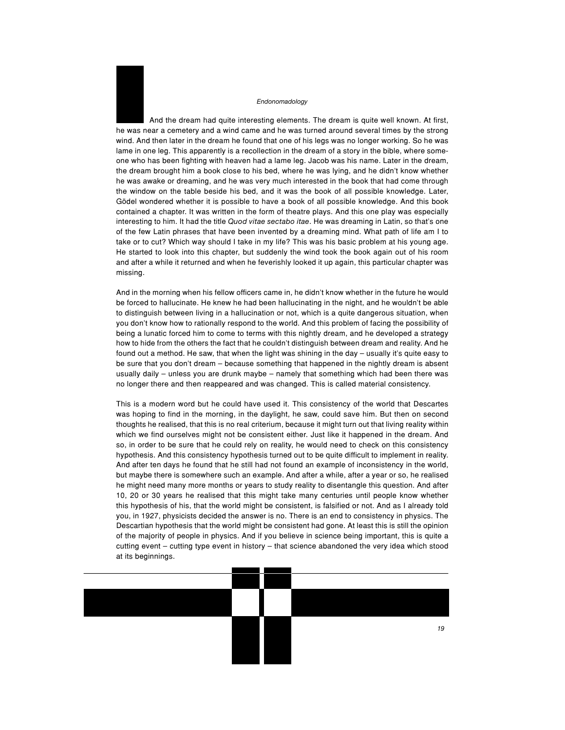And the dream had quite interesting elements. The dream is quite well known. At first, he was near a cemetery and a wind came and he was turned around several times by the strong wind. And then later in the dream he found that one of his legs was no longer working. So he was lame in one leg. This apparently is a recollection in the dream of a story in the bible, where someone who has been fighting with heaven had a lame leg. Jacob was his name. Later in the dream, the dream brought him a book close to his bed, where he was lying, and he didn't know whether he was awake or dreaming, and he was very much interested in the book that had come through the window on the table beside his bed, and it was the book of all possible knowledge. Later, Gödel wondered whether it is possible to have a book of all possible knowledge. And this book contained a chapter. It was written in the form of theatre plays. And this one play was especially interesting to him. It had the title *Quod vitae sectabo itae*. He was dreaming in Latin, so that's one of the few Latin phrases that have been invented by a dreaming mind. What path of life am I to take or to cut? Which way should I take in my life? This was his basic problem at his young age. He started to look into this chapter, but suddenly the wind took the book again out of his room and after a while it returned and when he feverishly looked it up again, this particular chapter was missing.

And in the morning when his fellow officers came in, he didn't know whether in the future he would be forced to hallucinate. He knew he had been hallucinating in the night, and he wouldn't be able to distinguish between living in a hallucination or not, which is a quite dangerous situation, when you don't know how to rationally respond to the world. And this problem of facing the possibility of being a lunatic forced him to come to terms with this nightly dream, and he developed a strategy how to hide from the others the fact that he couldn't distinguish between dream and reality. And he found out a method. He saw, that when the light was shining in the day – usually it's quite easy to be sure that you don't dream – because something that happened in the nightly dream is absent usually daily – unless you are drunk maybe – namely that something which had been there was no longer there and then reappeared and was changed. This is called material consistency.

This is a modern word but he could have used it. This consistency of the world that Descartes was hoping to find in the morning, in the daylight, he saw, could save him. But then on second thoughts he realised, that this is no real criterium, because it might turn out that living reality within which we find ourselves might not be consistent either. Just like it happened in the dream. And so, in order to be sure that he could rely on reality, he would need to check on this consistency hypothesis. And this consistency hypothesis turned out to be quite difficult to implement in reality. And after ten days he found that he still had not found an example of inconsistency in the world, but maybe there is somewhere such an example. And after a while, after a year or so, he realised he might need many more months or years to study reality to disentangle this question. And after 10, 20 or 30 years he realised that this might take many centuries until people know whether this hypothesis of his, that the world might be consistent, is falsified or not. And as I already told you, in 1927, physicists decided the answer is no. There is an end to consistency in physics. The Descartian hypothesis that the world might be consistent had gone. At least this is still the opinion of the majority of people in physics. And if you believe in science being important, this is quite a cutting event – cutting type event in history – that science abandoned the very idea which stood at its beginnings.

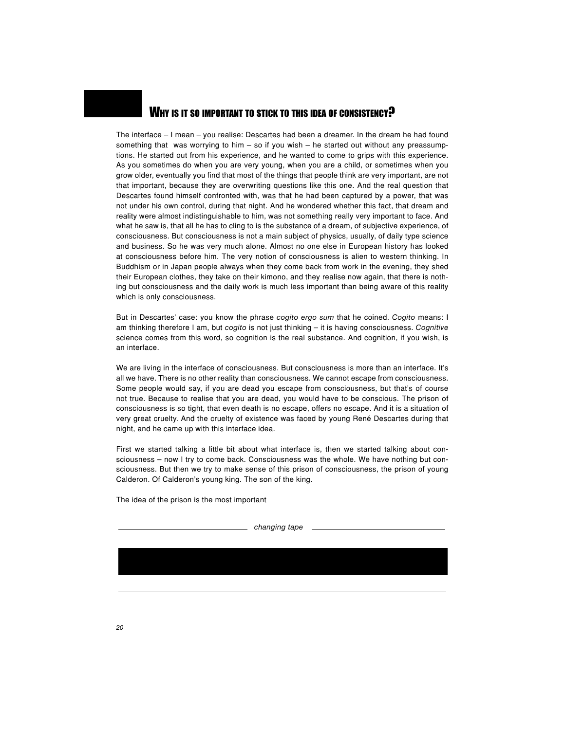

The interface – I mean – you realise: Descartes had been a dreamer. In the dream he had found something that was worrying to him  $-$  so if you wish  $-$  he started out without any preassumptions. He started out from his experience, and he wanted to come to grips with this experience. As you sometimes do when you are very young, when you are a child, or sometimes when you grow older, eventually you find that most of the things that people think are very important, are not that important, because they are overwriting questions like this one. And the real question that Descartes found himself confronted with, was that he had been captured by a power, that was not under his own control, during that night. And he wondered whether this fact, that dream and reality were almost indistinguishable to him, was not something really very important to face. And what he saw is, that all he has to cling to is the substance of a dream, of subjective experience, of consciousness. But consciousness is not a main subject of physics, usually, of daily type science and business. So he was very much alone. Almost no one else in European history has looked at consciousness before him. The very notion of consciousness is alien to western thinking. In Buddhism or in Japan people always when they come back from work in the evening, they shed their European clothes, they take on their kimono, and they realise now again, that there is nothing but consciousness and the daily work is much less important than being aware of this reality which is only consciousness.

But in Descartes' case: you know the phrase *cogito ergo sum* that he coined. *Cogito* means: I am thinking therefore I am, but *cogito* is not just thinking – it is having consciousness. *Cognitive* science comes from this word, so cognition is the real substance. And cognition, if you wish, is an interface.

We are living in the interface of consciousness. But consciousness is more than an interface. It's all we have. There is no other reality than consciousness. We cannot escape from consciousness. Some people would say, if you are dead you escape from consciousness, but that's of course not true. Because to realise that you are dead, you would have to be conscious. The prison of consciousness is so tight, that even death is no escape, offers no escape. And it is a situation of very great cruelty. And the cruelty of existence was faced by young René Descartes during that night, and he came up with this interface idea.

First we started talking a little bit about what interface is, then we started talking about consciousness – now I try to come back. Consciousness was the whole. We have nothing but consciousness. But then we try to make sense of this prison of consciousness, the prison of young Calderon. Of Calderon's young king. The son of the king.

The idea of the prison is the most important.

*changing tape*

*20*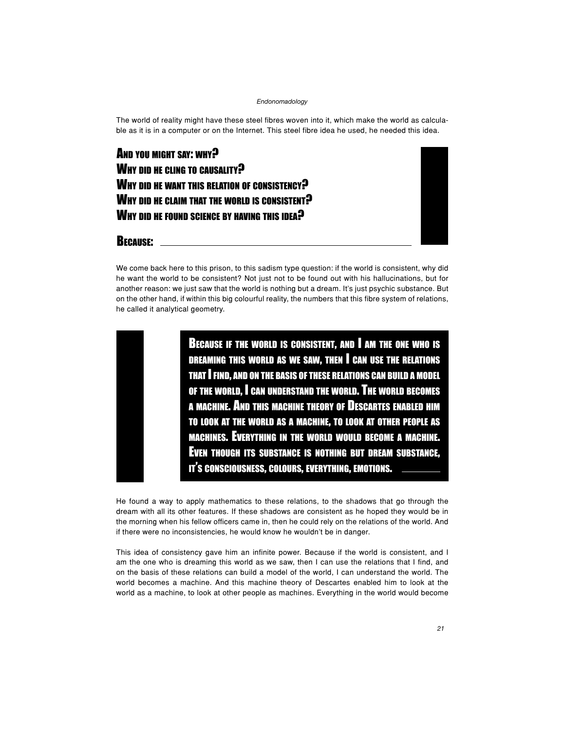The world of reality might have these steel fibres woven into it, which make the world as calculable as it is in a computer or on the Internet. This steel fibre idea he used, he needed this idea.

AND YOU MIGHT SAY: WHY? WHY DID HE CLING TO CAUSALITY? WHY DID HE WANT THIS RELATION OF CONSISTENCY? WHY DID HE CLAIM THAT THE WORLD IS CONSISTENT? WHY DID HE FOUND SCIENCE BY HAVING THIS IDEA?



BECAUSE:

We come back here to this prison, to this sadism type question: if the world is consistent, why did he want the world to be consistent? Not just not to be found out with his hallucinations, but for another reason: we just saw that the world is nothing but a dream. It's just psychic substance. But on the other hand, if within this big colourful reality, the numbers that this fibre system of relations, he called it analytical geometry.

> BECAUSE IF THE WORLD IS CONSISTENT, AND I AM THE ONE WHO IS DREAMING THIS WORLD AS WE SAW, THEN I CAN USE THE RELATIONS THAT I FIND, AND ON THE BASIS OF THESE RELATIONS CAN BUILD A MODEL OF THE WORLD, I CAN UNDERSTAND THE WORLD. THE WORLD BECOMES A MACHINE. AND THIS MACHINE THEORY OF DESCARTES ENABLED HIM TO LOOK AT THE WORLD AS A MACHINE, TO LOOK AT OTHER PEOPLE AS MACHINES. EVERYTHING IN THE WORLD WOULD BECOME A MACHINE. EVEN THOUGH ITS SUBSTANCE IS NOTHING BUT DREAM SUBSTANCE, IT'S CONSCIOUSNESS, COLOURS, EVERYTHING, EMOTIONS.

He found a way to apply mathematics to these relations, to the shadows that go through the dream with all its other features. If these shadows are consistent as he hoped they would be in the morning when his fellow officers came in, then he could rely on the relations of the world. And if there were no inconsistencies, he would know he wouldn't be in danger.

This idea of consistency gave him an infinite power. Because if the world is consistent, and I am the one who is dreaming this world as we saw, then I can use the relations that I find, and on the basis of these relations can build a model of the world, I can understand the world. The world becomes a machine. And this machine theory of Descartes enabled him to look at the world as a machine, to look at other people as machines. Everything in the world would become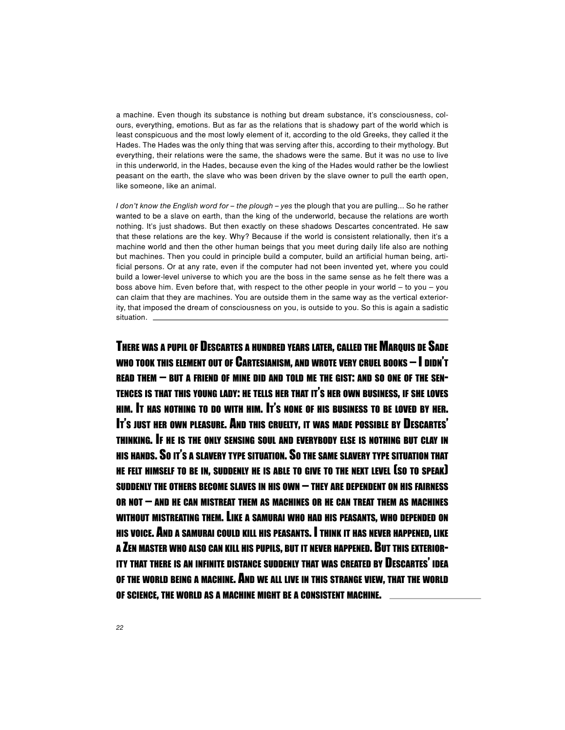a machine. Even though its substance is nothing but dream substance, it's consciousness, colours, everything, emotions. But as far as the relations that is shadowy part of the world which is least conspicuous and the most lowly element of it, according to the old Greeks, they called it the Hades. The Hades was the only thing that was serving after this, according to their mythology. But everything, their relations were the same, the shadows were the same. But it was no use to live in this underworld, in the Hades, because even the king of the Hades would rather be the lowliest peasant on the earth, the slave who was been driven by the slave owner to pull the earth open, like someone, like an animal.

*I don't know the English word for – the plough – yes* the plough that you are pulling... So he rather wanted to be a slave on earth, than the king of the underworld, because the relations are worth nothing. It's just shadows. But then exactly on these shadows Descartes concentrated. He saw that these relations are the key. Why? Because if the world is consistent relationally, then it's a machine world and then the other human beings that you meet during daily life also are nothing but machines. Then you could in principle build a computer, build an artificial human being, artificial persons. Or at any rate, even if the computer had not been invented yet, where you could build a lower-level universe to which you are the boss in the same sense as he felt there was a boss above him. Even before that, with respect to the other people in your world – to you – you can claim that they are machines. You are outside them in the same way as the vertical exteriority, that imposed the dream of consciousness on you, is outside to you. So this is again a sadistic situation.

THERE WAS A PUPIL OF DESCARTES A HUNDRED YEARS LATER, CALLED THE MARQUIS DE SADE WHO TOOK THIS ELEMENT OUT OF CARTESIANISM, AND WROTE VERY CRUEL BOOKS – I DIDN'T READ THEM – BUT A FRIEND OF MINE DID AND TOLD ME THE GIST: AND SO ONE OF THE SEN-TENCES IS THAT THIS YOUNG LADY: HE TELLS HER THAT IT'S HER OWN BUSINESS, IF SHE LOVES HIM. IT HAS NOTHING TO DO WITH HIM. IT'S NONE OF HIS BUSINESS TO BE LOVED BY HER. IT'S JUST HER OWN PLEASURE. AND THIS CRUELTY, IT WAS MADE POSSIBLE BY DESCARTES' THINKING. IF HE IS THE ONLY SENSING SOUL AND EVERYBODY ELSE IS NOTHING BUT CLAY IN HIS HANDS. SO IT'S A SLAVERY TYPE SITUATION. SO THE SAME SLAVERY TYPE SITUATION THAT HE FELT HIMSELF TO BE IN, SUDDENLY HE IS ABLE TO GIVE TO THE NEXT LEVEL (SO TO SPEAK) SUDDENLY THE OTHERS BECOME SLAVES IN HIS OWN – THEY ARE DEPENDENT ON HIS FAIRNESS OR NOT – AND HE CAN MISTREAT THEM AS MACHINES OR HE CAN TREAT THEM AS MACHINES WITHOUT MISTREATING THEM. LIKE A SAMURAI WHO HAD HIS PEASANTS, WHO DEPENDED ON HIS VOICE. AND A SAMURAI COULD KILL HIS PEASANTS. I THINK IT HAS NEVER HAPPENED, LIKE A ZEN MASTER WHO ALSO CAN KILL HIS PUPILS, BUT IT NEVER HAPPENED. BUT THIS EXTERIOR-ITY THAT THERE IS AN INFINITE DISTANCE SUDDENLY THAT WAS CREATED BY DESCARTES' IDEA OF THE WORLD BEING A MACHINE. AND WE ALL LIVE IN THIS STRANGE VIEW, THAT THE WORLD OF SCIENCE, THE WORLD AS A MACHINE MIGHT BE A CONSISTENT MACHINE.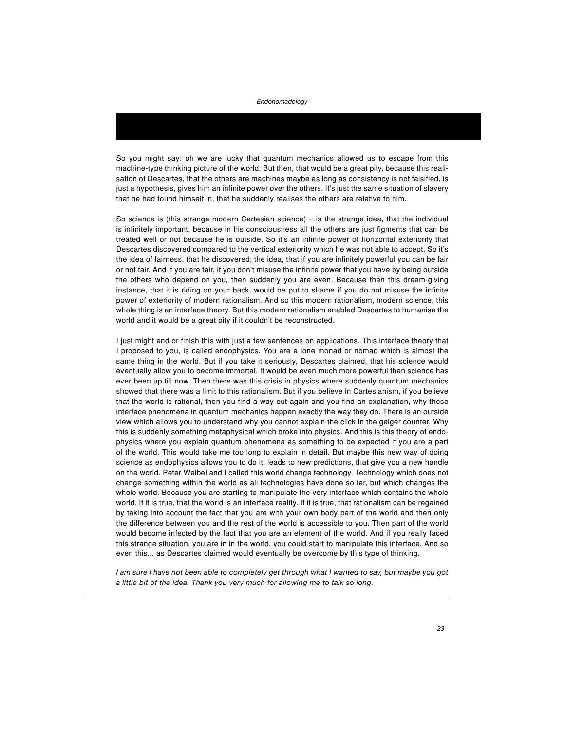So you might say: oh we are lucky that quantum mechanics allowed us to escape from this machine-type thinking picture of the world. But then, that would be a great pity, because this realisation of Descartes, that the others are machines maybe as long as consistency is not falsified, is just a hypothesis, gives him an infinite power over the others. It's just the same situation of slavery that he had found himself in, that he suddenly realises the others are relative to him.

So science is (this strange modern Cartesian science) – is the strange idea, that the individual is infinitely important, because in his consciousness all the others are just figments that can be treated well or not because he is outside. So it's an infinite power of horizontal exteriority that Descartes discovered compared to the vertical exteriority which he was not able to accept. So it's the idea of fairness, that he discovered; the idea, that if you are infinitely powerful you can be fair or not fair. And if you are fair, if you don't misuse the infinite power that you have by being outside the others who depend on you, then suddenly you are even. Because then this dream-giving instance, that it is riding on your back, would be put to shame if you do not misuse the infinite power of exteriority of modern rationalism. And so this modern rationalism, modern science, this whole thing is an interface theory. But this modern rationalism enabled Descartes to humanise the world and it would be a great pity if it couldn't be reconstructed.

I just might end or finish this with just a few sentences on applications. This interface theory that I proposed to you, is called endophysics. You are a lone monad or nomad which is almost the same thing in the world. But if you take it seriously, Descartes claimed, that his science would eventually allow you to become immortal. It would be even much more powerful than science has ever been up till now. Then there was this crisis in physics where suddenly quantum mechanics showed that there was a limit to this rationalism. But if you believe in Cartesianism, if you believe that the world is rational, then you find a way out again and you find an explanation, why these interface phenomena in quantum mechanics happen exactly the way they do. There is an outside view which allows you to understand why you cannot explain the click in the geiger counter. Why this is suddenly something metaphysical which broke into physics. And this is this theory of endophysics where you explain quantum phenomena as something to be expected if you are a part of the world. This would take me too long to explain in detail. But maybe this new way of doing science as endophysics allows you to do it, leads to new predictions, that give you a new handle on the world. Peter Weibel and I called this world change technology. Technology which does not change something within the world as all technologies have done so far, but which changes the whole world. Because you are starting to manipulate the very interface which contains the whole world. If it is true, that the world is an interface reality. If it is true, that rationalism can be regained by taking into account the fact that you are with your own body part of the world and then only the difference between you and the rest of the world is accessible to you. Then part of the world would become infected by the fact that you are an element of the world. And if you really faced this strange situation, you are in in the world, you could start to manipulate this interface. And so even this... as Descartes claimed would eventually be overcome by this type of thinking.

*I am sure I have not been able to completely get through what I wanted to say, but maybe you got a little bit of the idea. Thank you very much for allowing me to talk so long.*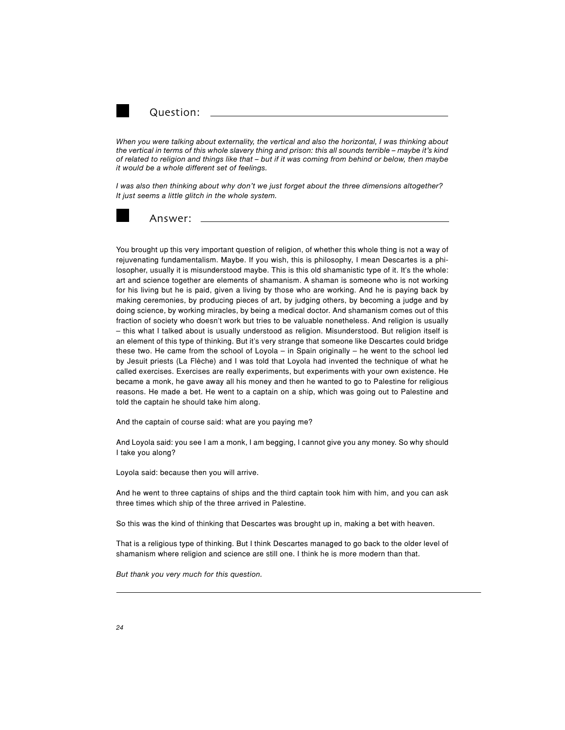

Question:

*When you were talking about externality, the vertical and also the horizontal, I was thinking about the vertical in terms of this whole slavery thing and prison: this all sounds terrible – maybe it's kind of related to religion and things like that – but if it was coming from behind or below, then maybe it would be a whole different set of feelings.*

*I was also then thinking about why don't we just forget about the three dimensions altogether? It just seems a little glitch in the whole system.*



Answer:

You brought up this very important question of religion, of whether this whole thing is not a way of rejuvenating fundamentalism. Maybe. If you wish, this is philosophy, I mean Descartes is a philosopher, usually it is misunderstood maybe. This is this old shamanistic type of it. It's the whole: art and science together are elements of shamanism. A shaman is someone who is not working for his living but he is paid, given a living by those who are working. And he is paying back by making ceremonies, by producing pieces of art, by judging others, by becoming a judge and by doing science, by working miracles, by being a medical doctor. And shamanism comes out of this fraction of society who doesn't work but tries to be valuable nonetheless. And religion is usually – this what I talked about is usually understood as religion. Misunderstood. But religion itself is an element of this type of thinking. But it's very strange that someone like Descartes could bridge these two. He came from the school of Loyola – in Spain originally – he went to the school led by Jesuit priests (La Flèche) and I was told that Loyola had invented the technique of what he called exercises. Exercises are really experiments, but experiments with your own existence. He became a monk, he gave away all his money and then he wanted to go to Palestine for religious reasons. He made a bet. He went to a captain on a ship, which was going out to Palestine and told the captain he should take him along.

And the captain of course said: what are you paying me?

And Loyola said: you see I am a monk, I am begging, I cannot give you any money. So why should I take you along?

Loyola said: because then you will arrive.

And he went to three captains of ships and the third captain took him with him, and you can ask three times which ship of the three arrived in Palestine.

So this was the kind of thinking that Descartes was brought up in, making a bet with heaven.

That is a religious type of thinking. But I think Descartes managed to go back to the older level of shamanism where religion and science are still one. I think he is more modern than that.

*But thank you very much for this question.*